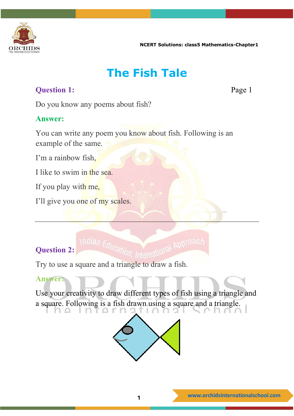

### **The Fish Tale**

#### **Question 1:** Page 1

Do you know any poems about fish?

#### **Answer:**

You can write any poem you know about fish. Following is an example of the same.

I'm a rainbow fish,

I like to swim in the sea.

If you play with me,

I'll give you one of my scales.

#### **Question 2:**

Try to use a square and a triangle to draw a fish.

#### **Answer:**

Use your creativity to draw different types of fish using a triangle and a square. Following is a fish drawn using a square and a triangle. $\top$ Y.

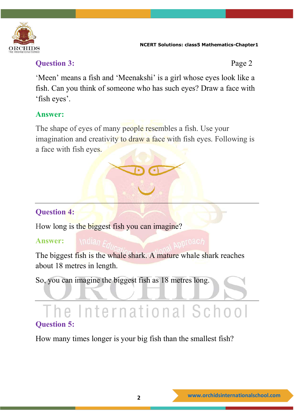

#### **Question 3:** Page 2

'Meen' means a fish and 'Meenakshi' is a girl whose eyes look like a fish. Can you think of someone who has such eyes? Draw a face with 'fish eyes'.

#### **Answer:**

The shape of eyes of many people resembles a fish. Use your imagination and creativity to draw a face with fish eyes. Following is a face with fish eyes.

#### **Question 4:**

How long is the biggest fish you can imagine?

#### **Answer:**

The biggest fish is the whale shark. A mature whale shark reaches about 18 metres in length.

So, you can imagine the biggest fish as 18 metres long.

### e International School **Question 5:**

How many times longer is your big fish than the smallest fish?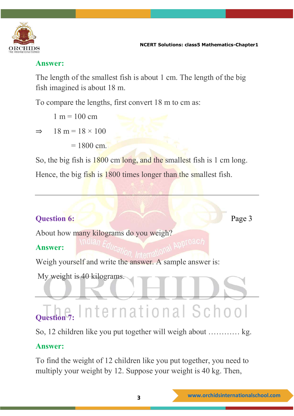

#### **Answer:**

The length of the smallest fish is about 1 cm. The length of the big fish imagined is about 18 m.

To compare the lengths, first convert 18 m to cm as:

 $1 m = 100 cm$ 

 $\Rightarrow$  18 m = 18 × 100

 $= 1800$  cm.

So, the big fish is 1800 cm long, and the smallest fish is 1 cm long.

Hence, the big fish is 1800 times longer than the smallest fish.

#### **Question 6:** Page 3

About how many kilograms do you weigh?

#### **Answer:**

Weigh yourself and write the answer. A sample answer is:

My weight is 40 kilograms.

#### International School **Question 7:**

So, 12 children like you put together will weigh about ………… kg.

#### **Answer:**

To find the weight of 12 children like you put together, you need to multiply your weight by 12. Suppose your weight is 40 kg. Then,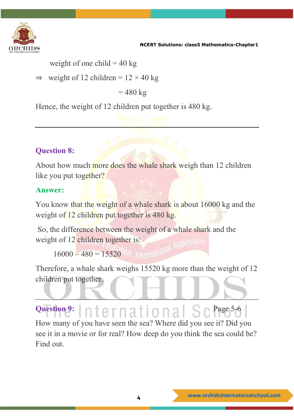

weight of one child  $= 40 \text{ kg}$ 

 $\Rightarrow$  weight of 12 children =  $12 \times 40$  kg

 $= 480 \text{ kg}$ 

Hence, the weight of 12 children put together is 480 kg.

#### **Question 8:**

About how much more does the whale shark weigh than 12 children like you put together?

#### **Answer:**

You know that the weight of a whale shark is about 16000 kg and the weight of 12 children put together is 480 kg.

So, the difference between the weight of a whale shark and the weight of 12 children together is:

 $16000 - 480 = 15520$  on International

Therefore, a whale shark weighs 15520 kg more than the weight of 12 children put together.

## Question 9: **Page 1**: **Page 1:** Page 1: **Page 1:** Page 5-6

How many of you have seen the sea? Where did you see it? Did you see it in a movie or for real? How deep do you think the sea could be? Find out.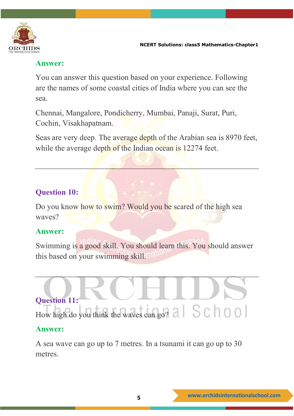

#### **Answer:**

You can answer this question based on your experience. Following are the names of some coastal cities of India where you can see the sea.

Chennai, Mangalore, Pondicherry, Mumbai, Panaji, Surat, Puri, Cochin, Visakhapatnam.

Seas are very deep. The average depth of the Arabian sea is 8970 feet, while the average depth of the Indian ocean is 12274 feet.

#### **Question 10:**

Do you know how to swim? Would you be scared of the high sea waves?

#### **Answer:**

Swimming is a good skill. You should learn this. You should answer this based on your swimming skill.

# **Question 11:** How high do you think the waves can go? a  $\mid S \cap \cap O \mid$

#### **Answer:**

A sea wave can go up to 7 metres. In a tsunami it can go up to 30 metres.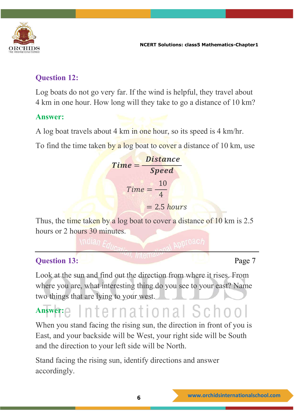

#### **Question 12:**

Log boats do not go very far. If the wind is helpful, they travel about 4 km in one hour. How long will they take to go a distance of 10 km?

#### **Answer:**

A log boat travels about 4 km in one hour, so its speed is 4 km/hr.

To find the time taken by a log boat to cover a distance of 10 km, use

$$
Time = \frac{Distance}{Speed}
$$
  
Time =  $\frac{10}{4}$   
= 2.5 hours

Thus, the time taken by a log boat to cover a distance of 10 km is 2.5 hours or 2 hours 30 minutes.

$$
\mathcal{L}_{\mathcal{A}}(\mathcal{A})
$$

#### **Question 13:** Page 7

Look at the sun and find out the direction from where it rises. From where you are, what interesting thing do you see to your east? Name two things that are lying to your west.

#### nternational School **Answer:**

When you stand facing the rising sun, the direction in front of you is East, and your backside will be West, your right side will be South and the direction to your left side will be North.

Stand facing the rising sun, identify directions and answer accordingly.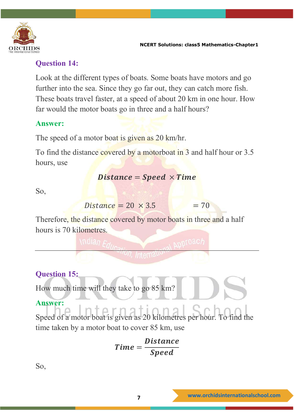

#### **Question 14:**

Look at the different types of boats. Some boats have motors and go further into the sea. Since they go far out, they can catch more fish. These boats travel faster, at a speed of about 20 km in one hour. How far would the motor boats go in three and a half hours?

#### **Answer:**

The speed of a motor boat is given as 20 km/hr.

To find the distance covered by a motorboat in 3 and half hour or 3.5 hours, use

#### $Distance = Speed \times Time$

So,

```
Distance = 20 \times 3.5 = 70
```
Therefore, the distance covered by motor boats in three and a half hours is 70 kilometres.

#### **Question 15:**

How much time will they take to go 85 km?

#### **Answer:**

Speed of a motor boat is given as 20 kilometres per hour. To find the time taken by a motor boat to cover 85 km, use

$$
Time = \frac{Distance}{Speed}
$$

So,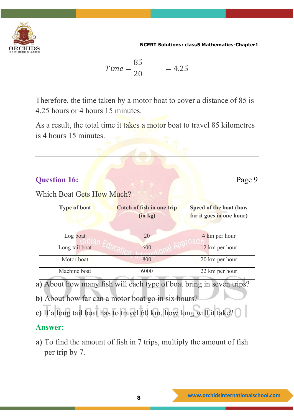

$$
Time = \frac{85}{20} = 4.25
$$

Therefore, the time taken by a motor boat to cover a distance of 85 is 4.25 hours or 4 hours 15 minutes.

As a result, the total time it takes a motor boat to travel 85 kilometres is 4 hours 15 minutes.

#### **Question 16:** Page 9

Which Boat Gets How Much?

| <b>Type of boat</b> | <b>Catch of fish in one trip</b><br>(in kg) | Speed of the boat (how<br>far it goes in one hour) |
|---------------------|---------------------------------------------|----------------------------------------------------|
| Log boat            | 20                                          | 4 km per hour                                      |
| Long tail boat      | 600                                         | 12 km per hour                                     |
| Motor boat          | 800                                         | 20 km per hour                                     |
| Machine boat        | 6000                                        | 22 km per hour                                     |

- **a)** About how many fish will each type of boat bring in seven trips?
- **b)** About how far can a motor boat go in six hours?
- **c)** If a long tail boat has to travel 60 km, how long will it take?

#### **Answer:**

**a)** To find the amount of fish in 7 trips, multiply the amount of fish per trip by 7.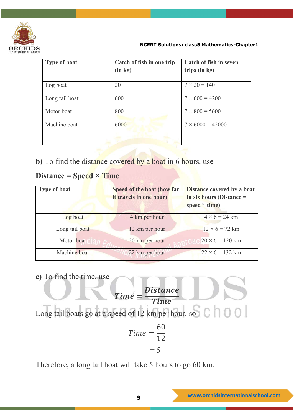

| <b>Type of boat</b> | Catch of fish in one trip | Catch of fish in seven  |
|---------------------|---------------------------|-------------------------|
|                     | (in kg)                   | trips (in kg)           |
| Log boat            | 20                        | $7 \times 20 = 140$     |
| Long tail boat      | 600                       | $7 \times 600 = 4200$   |
| Motor boat          | 800                       | $7 \times 800 = 5600$   |
| Machine boat        | 6000                      | $7 \times 6000 = 42000$ |
|                     |                           |                         |

**b**) To find the distance covered by a boat in 6 hours, use

#### **Distance = Speed × Time**

| <b>Type of boat</b> | Speed of the boat (how far<br>it travels in one hour) | <b>Distance covered by a boat</b><br>in six hours (Distance =<br>speed $\times$ time) |
|---------------------|-------------------------------------------------------|---------------------------------------------------------------------------------------|
| Log boat            | 4 km per hour                                         | $4 \times 6 = 24$ km                                                                  |
| Long tail boat      | 12 km per hour                                        | $12 \times 6 = 72$ km                                                                 |
| Motor boat          | 20 km per hour                                        | $20 \times 6 = 120$ km                                                                |
| Machine boat        | 22 km per hour                                        | $22 \times 6 = 132$ km                                                                |

**c)** To find the time, use

$$
Time = \frac{Distance}{Time}
$$
  
Long tail boats go at a speed of 12 km per hour, so C 0 0 0  

$$
Time = \frac{60}{12}
$$

$$
= 5
$$

Therefore, a long tail boat will take 5 hours to go 60 km.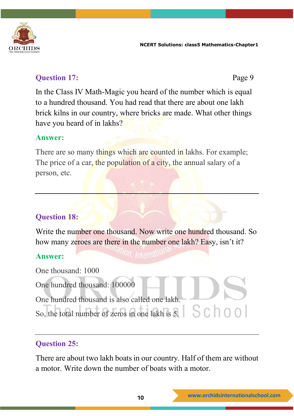

#### **Question 17:** Page 9

In the Class IV Math-Magic you heard of the number which is equal to a hundred thousand. You had read that there are about one lakh brick kilns in our country, where bricks are made. What other things have you heard of in lakhs?

#### **Answer:**

There are so many things which are counted in lakhs. For example; The price of a car, the population of a city, the annual salary of a person, etc.

#### **Question 18:**

Write the number one thousand. Now write one hundred thousand. So how many zeroes are there in the number one lakh? Easy, isn't it?

#### **Answer:**

One thousand: 1000 One hundred thousand: 100000 One hundred thousand is also called one lakh. So, the total number of zeros in one lakh is 5.

#### **Question 25:**

There are about two lakh boats in our country. Half of them are without a motor. Write down the number of boats with a motor.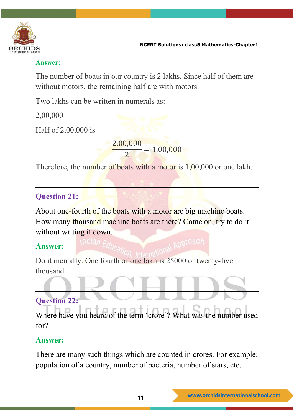

#### **Answer:**

The number of boats in our country is 2 lakhs. Since half of them are without motors, the remaining half are with motors.

Two lakhs can be written in numerals as:

2,00,000

Half of 2,00,000 is

2,00,000  $\overline{a}$  = 1.00,000

Therefore, the number of boats with a motor is 1,00,000 or one lakh.

#### **Question 21:**

About one-fourth of the boats with a motor are big machine boats. How many thousand machine boats are there? Come on, try to do it without writing it down.

#### **Answer:**

Do it mentally. One fourth of one lakh is 25000 or twenty-five thousand.

#### **Question 22:**

Where have you heard of the term 'crore'? What was the number used for?

#### **Answer:**

There are many such things which are counted in crores. For example; population of a country, number of bacteria, number of stars, etc.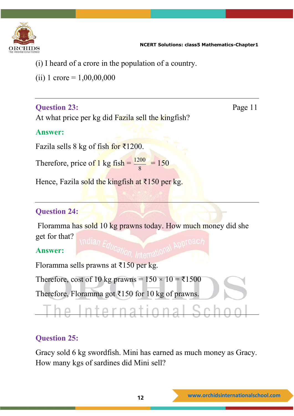

- (i) I heard of a crore in the population of a country.
- (ii) 1 crore =  $1,00,00,000$

#### **Question 23:** Page 11

At what price per kg did Fazila sell the kingfish?

#### **Answer:**

Fazila sells 8 kg of fish for ₹1200.

Therefore, price of 1 kg fish  $=$   $\frac{1200}{8}$  = 150

Hence, Fazila sold the kingfish at  $\overline{\xi}$ 150 per kg.

#### **Question 24:**

Floramma has sold 10 kg prawns today. How much money did she get for that?

#### **Answer:**

Floramma sells prawns at  $\overline{5150}$  per kg.

Therefore, cost of 10 kg prawns =  $150 \times 10 = \text{\textless}1500$ 

Therefore, Floramma got  $\overline{\xi}$ 150 for 10 kg of prawns.

## nternation

#### **Question 25:**

Gracy sold 6 kg swordfish. Mini has earned as much money as Gracy. How many kgs of sardines did Mini sell?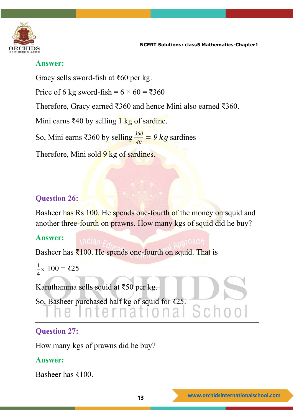

#### **Answer:**

Gracy sells sword-fish at ₹60 per kg.

Price of 6 kg sword-fish =  $6 \times 60 = ₹360$ 

Therefore, Gracy earned ₹360 and hence Mini also earned ₹360.

Mini earns ₹40 by selling 1 kg of sardine.

So, Mini earns ₹360 by selling  $\frac{360}{40} = 9$  kg sardines

Therefore, Mini sold 9 kg of sardines.

#### **Question 26:**

Basheer has Rs 100. He spends one-fourth of the money on squid and another three-fourth on prawns. How many kgs of squid did he buy?

#### **Answer:**

Basheer has  $\bar{x}$ 100. He spends one-fourth on squid. That is

$$
\frac{1}{4} \times 100 = \overline{\xi}25
$$

Karuthamma sells squid at ₹50 per kg.

So, Basheer purchased half kg of squid for ₹25.

#### **Question 27:**

How many kgs of prawns did he buy?

#### **Answer:**

Basheer has ₹100.

Schoo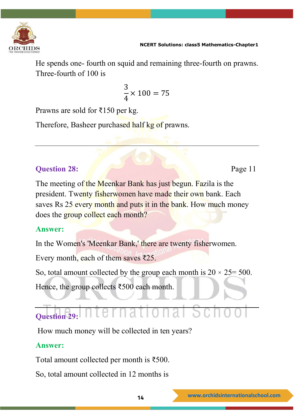

He spends one- fourth on squid and remaining three-fourth on prawns. Three-fourth of 100 is

$$
\frac{3}{4} \times 100 = 75
$$

Prawns are sold for ₹150 per kg.

Therefore, Basheer purchased half kg of prawns.

#### **Question 28:** Page 11

The meeting of the Meenkar Bank has just begun. Fazila is the president. Twenty fisherwomen have made their own bank. Each saves Rs 25 every month and puts it in the bank. How much money does the group collect each month?

#### **Answer:**

In the Women's 'Meenkar Bank,' there are twenty fisherwomen. Every month, each of them saves ₹25.

So, total amount collected by the group each month is  $20 \times 25 = 500$ .

Hence, the group collects ₹500 each month.

#### iational S **Question 29:**

How much money will be collected in ten years?

#### **Answer:**

Total amount collected per month is ₹500.

So, total amount collected in 12 months is